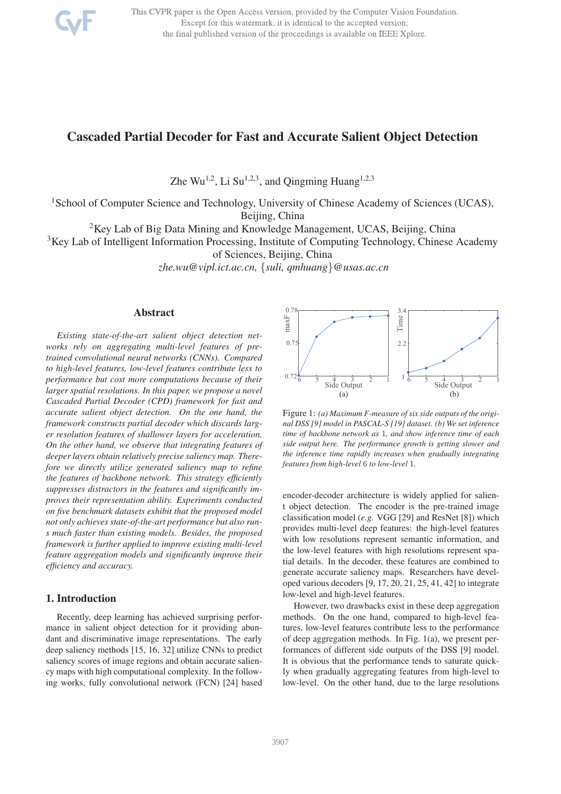

This CVPR paper is the Open Access version, provided by the Computer Vision Foundation. Except for this watermark, it is identical to the accepted version; the final published version of the proceedings is available on IEEE Xplore.

# Cascaded Partial Decoder for Fast and Accurate Salient Object Detection

Zhe Wu<sup>1,2</sup>, Li Su<sup>1,2,3</sup>, and Qingming Huang<sup>1,2,3</sup>

<sup>1</sup>School of Computer Science and Technology, University of Chinese Academy of Sciences (UCAS), Beijing, China

<sup>2</sup>Key Lab of Big Data Mining and Knowledge Management, UCAS, Beijing, China

<sup>3</sup>Key Lab of Intelligent Information Processing, Institute of Computing Technology, Chinese Academy

of Sciences, Beijing, China

*zhe.wu@vipl.ict.ac.cn,* {*suli, qmhuang*}*@usas.ac.cn*

### Abstract

*Existing state-of-the-art salient object detection networks rely on aggregating multi-level features of pretrained convolutional neural networks (CNNs). Compared to high-level features, low-level features contribute less to performance but cost more computations because of their larger spatial resolutions. In this paper, we propose a novel Cascaded Partial Decoder (CPD) framework for fast and accurate salient object detection. On the one hand, the framework constructs partial decoder which discards larger resolution features of shallower layers for acceleration. On the other hand, we observe that integrating features of deeper layers obtain relatively precise saliency map. Therefore we directly utilize generated saliency map to refine the features of backbone network. This strategy efficiently suppresses distractors in the features and significantly improves their representation ability. Experiments conducted on five benchmark datasets exhibit that the proposed model not only achieves state-of-the-art performance but also runs much faster than existing models. Besides, the proposed framework is further applied to improve existing multi-level feature aggregation models and significantly improve their efficiency and accuracy.*

# 1. Introduction

Recently, deep learning has achieved surprising performance in salient object detection for it providing abundant and discriminative image representations. The early deep saliency methods [15, 16, 32] utilize CNNs to predict saliency scores of image regions and obtain accurate saliency maps with high computational complexity. In the following works, fully convolutional network (FCN) [24] based



Figure 1: *(a) Maximum F-measure of six side outputs of the original DSS [9] model in PASCAL-S [19] dataset. (b) We set inference time of backbone network as* 1*, and show inference time of each side output here. The performance growth is getting slower and the inference time rapidly increases when gradually integrating features from high-level* 6 *to low-level* 1*.*

encoder-decoder architecture is widely applied for salient object detection. The encoder is the pre-trained image classification model (*e.g.* VGG [29] and ResNet [8]) which provides multi-level deep features: the high-level features with low resolutions represent semantic information, and the low-level features with high resolutions represent spatial details. In the decoder, these features are combined to generate accurate saliency maps. Researchers have developed various decoders [9, 17, 20, 21, 25, 41, 42] to integrate low-level and high-level features.

However, two drawbacks exist in these deep aggregation methods. On the one hand, compared to high-level features, low-level features contribute less to the performance of deep aggregation methods. In Fig. 1(a), we present performances of different side outputs of the DSS [9] model. It is obvious that the performance tends to saturate quickly when gradually aggregating features from high-level to low-level. On the other hand, due to the large resolutions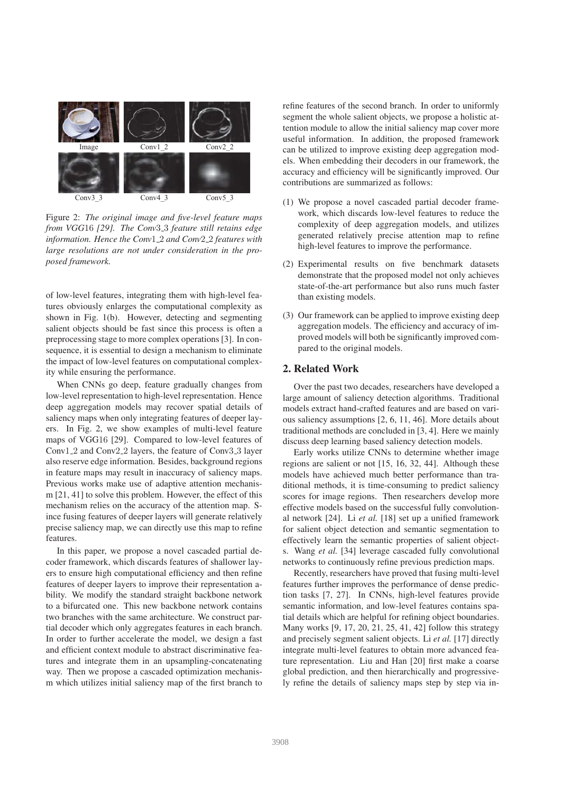

Figure 2: *The original image and five-level feature maps from VGG*16 *[29]. The Conv*3 3 *feature still retains edge information. Hence the Conv*1 2 *and Conv*2 2 *features with large resolutions are not under consideration in the proposed framework.*

of low-level features, integrating them with high-level features obviously enlarges the computational complexity as shown in Fig. 1(b). However, detecting and segmenting salient objects should be fast since this process is often a preprocessing stage to more complex operations [3]. In consequence, it is essential to design a mechanism to eliminate the impact of low-level features on computational complexity while ensuring the performance.

When CNNs go deep, feature gradually changes from low-level representation to high-level representation. Hence deep aggregation models may recover spatial details of saliency maps when only integrating features of deeper layers. In Fig. 2, we show examples of multi-level feature maps of VGG16 [29]. Compared to low-level features of Conv1 2 and Conv2 2 layers, the feature of Conv3 3 layer also reserve edge information. Besides, background regions in feature maps may result in inaccuracy of saliency maps. Previous works make use of adaptive attention mechanism [21, 41] to solve this problem. However, the effect of this mechanism relies on the accuracy of the attention map. Since fusing features of deeper layers will generate relatively precise saliency map, we can directly use this map to refine features.

In this paper, we propose a novel cascaded partial decoder framework, which discards features of shallower layers to ensure high computational efficiency and then refine features of deeper layers to improve their representation ability. We modify the standard straight backbone network to a bifurcated one. This new backbone network contains two branches with the same architecture. We construct partial decoder which only aggregates features in each branch. In order to further accelerate the model, we design a fast and efficient context module to abstract discriminative features and integrate them in an upsampling-concatenating way. Then we propose a cascaded optimization mechanism which utilizes initial saliency map of the first branch to refine features of the second branch. In order to uniformly segment the whole salient objects, we propose a holistic attention module to allow the initial saliency map cover more useful information. In addition, the proposed framework can be utilized to improve existing deep aggregation models. When embedding their decoders in our framework, the accuracy and efficiency will be significantly improved. Our contributions are summarized as follows:

- (1) We propose a novel cascaded partial decoder framework, which discards low-level features to reduce the complexity of deep aggregation models, and utilizes generated relatively precise attention map to refine high-level features to improve the performance.
- (2) Experimental results on five benchmark datasets demonstrate that the proposed model not only achieves state-of-the-art performance but also runs much faster than existing models.
- (3) Our framework can be applied to improve existing deep aggregation models. The efficiency and accuracy of improved models will both be significantly improved compared to the original models.

# 2. Related Work

Over the past two decades, researchers have developed a large amount of saliency detection algorithms. Traditional models extract hand-crafted features and are based on various saliency assumptions [2, 6, 11, 46]. More details about traditional methods are concluded in [3, 4]. Here we mainly discuss deep learning based saliency detection models.

Early works utilize CNNs to determine whether image regions are salient or not [15, 16, 32, 44]. Although these models have achieved much better performance than traditional methods, it is time-consuming to predict saliency scores for image regions. Then researchers develop more effective models based on the successful fully convolutional network [24]. Li *et al.* [18] set up a unified framework for salient object detection and semantic segmentation to effectively learn the semantic properties of salient objects. Wang *et al.* [34] leverage cascaded fully convolutional networks to continuously refine previous prediction maps.

Recently, researchers have proved that fusing multi-level features further improves the performance of dense prediction tasks [7, 27]. In CNNs, high-level features provide semantic information, and low-level features contains spatial details which are helpful for refining object boundaries. Many works [9, 17, 20, 21, 25, 41, 42] follow this strategy and precisely segment salient objects. Li *et al.* [17] directly integrate multi-level features to obtain more advanced feature representation. Liu and Han [20] first make a coarse global prediction, and then hierarchically and progressively refine the details of saliency maps step by step via in-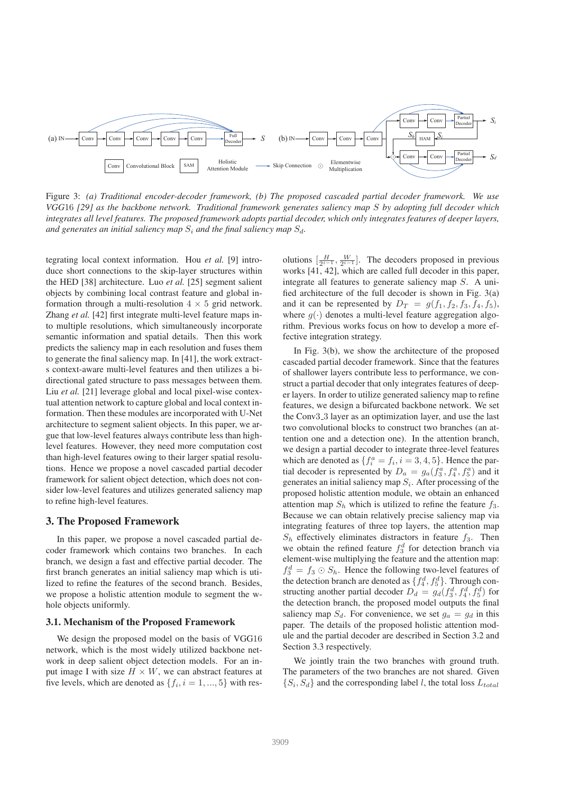

Figure 3: *(a) Traditional encoder-decoder framework, (b) The proposed cascaded partial decoder framework. We use VGG*16 *[29] as the backbone network. Traditional framework generates saliency map* S *by adopting full decoder which integrates all level features. The proposed framework adopts partial decoder, which only integrates features of deeper layers, and generates an initial saliency map*  $S_i$  *and the final saliency map*  $S_d$ *.* 

tegrating local context information. Hou *et al.* [9] introduce short connections to the skip-layer structures within the HED [38] architecture. Luo *et al.* [25] segment salient objects by combining local contrast feature and global information through a multi-resolution  $4 \times 5$  grid network. Zhang *et al.* [42] first integrate multi-level feature maps into multiple resolutions, which simultaneously incorporate semantic information and spatial details. Then this work predicts the saliency map in each resolution and fuses them to generate the final saliency map. In [41], the work extracts context-aware multi-level features and then utilizes a bidirectional gated structure to pass messages between them. Liu *et al.* [21] leverage global and local pixel-wise contextual attention network to capture global and local context information. Then these modules are incorporated with U-Net architecture to segment salient objects. In this paper, we argue that low-level features always contribute less than highlevel features. However, they need more computation cost than high-level features owing to their larger spatial resolutions. Hence we propose a novel cascaded partial decoder framework for salient object detection, which does not consider low-level features and utilizes generated saliency map to refine high-level features.

#### 3. The Proposed Framework

In this paper, we propose a novel cascaded partial decoder framework which contains two branches. In each branch, we design a fast and effective partial decoder. The first branch generates an initial saliency map which is utilized to refine the features of the second branch. Besides, we propose a holistic attention module to segment the whole objects uniformly.

#### 3.1. Mechanism of the Proposed Framework

We design the proposed model on the basis of VGG16 network, which is the most widely utilized backbone network in deep salient object detection models. For an input image I with size  $H \times W$ , we can abstract features at five levels, which are denoted as  $\{f_i, i = 1, ..., 5\}$  with res-

olutions  $\left[\frac{H}{2^{i-1}}, \frac{W}{2^{i-1}}\right]$ . The decoders proposed in previous works [41, 42], which are called full decoder in this paper, integrate all features to generate saliency map S. A unified architecture of the full decoder is shown in Fig. 3(a) and it can be represented by  $D_T = g(f_1, f_2, f_3, f_4, f_5)$ , where  $g(\cdot)$  denotes a multi-level feature aggregation algorithm. Previous works focus on how to develop a more effective integration strategy.

In Fig. 3(b), we show the architecture of the proposed cascaded partial decoder framework. Since that the features of shallower layers contribute less to performance, we construct a partial decoder that only integrates features of deeper layers. In order to utilize generated saliency map to refine features, we design a bifurcated backbone network. We set the Conv3<sub>-3</sub> layer as an optimization layer, and use the last two convolutional blocks to construct two branches (an attention one and a detection one). In the attention branch, we design a partial decoder to integrate three-level features which are denoted as  $\{f_i^a = f_i, i = 3, 4, 5\}$ . Hence the partial decoder is represented by  $D_a = g_a(f_3^a, f_4^a, f_5^a)$  and it generates an initial saliency map  $S_i$ . After processing of the proposed holistic attention module, we obtain an enhanced attention map  $S_h$  which is utilized to refine the feature  $f_3$ . Because we can obtain relatively precise saliency map via integrating features of three top layers, the attention map  $S_h$  effectively eliminates distractors in feature  $f_3$ . Then we obtain the refined feature  $f_3^d$  for detection branch via element-wise multiplying the feature and the attention map:  $f_3^d = f_3 \odot S_h$ . Hence the following two-level features of the detection branch are denoted as  $\{f_4^d, f_5^d\}$ . Through constructing another partial decoder  $D_d = g_d(f_3^d, f_4^d, f_5^d)$  for the detection branch, the proposed model outputs the final saliency map  $S_d$ . For convenience, we set  $g_a = g_d$  in this paper. The details of the proposed holistic attention module and the partial decoder are described in Section 3.2 and Section 3.3 respectively.

We jointly train the two branches with ground truth. The parameters of the two branches are not shared. Given  $\{S_i, S_d\}$  and the corresponding label l, the total loss  $L_{total}$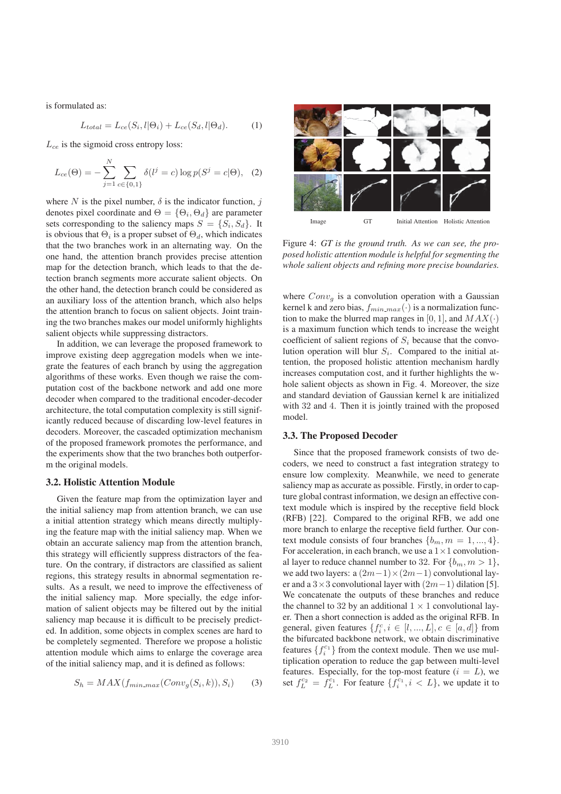is formulated as:

$$
L_{total} = L_{ce}(S_i, l | \Theta_i) + L_{ce}(S_d, l | \Theta_d). \tag{1}
$$

 $L_{ce}$  is the sigmoid cross entropy loss:

$$
L_{ce}(\Theta) = -\sum_{j=1}^{N} \sum_{c \in \{0,1\}} \delta(l^j = c) \log p(S^j = c | \Theta), \quad (2)
$$

where N is the pixel number,  $\delta$  is the indicator function, j denotes pixel coordinate and  $\Theta = \{\Theta_i, \Theta_d\}$  are parameter sets corresponding to the saliency maps  $S = \{S_i, S_d\}$ . It is obvious that  $\Theta_i$  is a proper subset of  $\Theta_d$ , which indicates that the two branches work in an alternating way. On the one hand, the attention branch provides precise attention map for the detection branch, which leads to that the detection branch segments more accurate salient objects. On the other hand, the detection branch could be considered as an auxiliary loss of the attention branch, which also helps the attention branch to focus on salient objects. Joint training the two branches makes our model uniformly highlights salient objects while suppressing distractors.

In addition, we can leverage the proposed framework to improve existing deep aggregation models when we integrate the features of each branch by using the aggregation algorithms of these works. Even though we raise the computation cost of the backbone network and add one more decoder when compared to the traditional encoder-decoder architecture, the total computation complexity is still significantly reduced because of discarding low-level features in decoders. Moreover, the cascaded optimization mechanism of the proposed framework promotes the performance, and the experiments show that the two branches both outperform the original models.

## 3.2. Holistic Attention Module

Given the feature map from the optimization layer and the initial saliency map from attention branch, we can use a initial attention strategy which means directly multiplying the feature map with the initial saliency map. When we obtain an accurate saliency map from the attention branch, this strategy will efficiently suppress distractors of the feature. On the contrary, if distractors are classified as salient regions, this strategy results in abnormal segmentation results. As a result, we need to improve the effectiveness of the initial saliency map. More specially, the edge information of salient objects may be filtered out by the initial saliency map because it is difficult to be precisely predicted. In addition, some objects in complex scenes are hard to be completely segmented. Therefore we propose a holistic attention module which aims to enlarge the coverage area of the initial saliency map, and it is defined as follows:

$$
S_h = MAX(f_{min\_max}(Conv_g(S_i, k)), S_i)
$$
 (3)



Figure 4: *GT is the ground truth. As we can see, the proposed holistic attention module is helpful for segmenting the whole salient objects and refining more precise boundaries.*

where  $Conv_q$  is a convolution operation with a Gaussian kernel k and zero bias,  $f_{min\_max}(\cdot)$  is a normalization function to make the blurred map ranges in [0, 1], and  $MAX(\cdot)$ is a maximum function which tends to increase the weight coefficient of salient regions of  $S_i$  because that the convolution operation will blur  $S_i$ . Compared to the initial attention, the proposed holistic attention mechanism hardly increases computation cost, and it further highlights the whole salient objects as shown in Fig. 4. Moreover, the size and standard deviation of Gaussian kernel k are initialized with 32 and 4. Then it is jointly trained with the proposed model.

### 3.3. The Proposed Decoder

Since that the proposed framework consists of two decoders, we need to construct a fast integration strategy to ensure low complexity. Meanwhile, we need to generate saliency map as accurate as possible. Firstly, in order to capture global contrast information, we design an effective context module which is inspired by the receptive field block (RFB) [22]. Compared to the original RFB, we add one more branch to enlarge the receptive field further. Our context module consists of four branches  $\{b_m, m = 1, ..., 4\}.$ For acceleration, in each branch, we use a  $1 \times 1$  convolutional layer to reduce channel number to 32. For  ${b_m, m > 1}$ , we add two layers:  $a(2m-1) \times (2m-1)$  convolutional layer and a  $3\times3$  convolutional layer with  $(2m-1)$  dilation [5]. We concatenate the outputs of these branches and reduce the channel to 32 by an additional  $1 \times 1$  convolutional layer. Then a short connection is added as the original RFB. In general, given features  $\{f_i^c, i \in [l, ..., L], c \in [a, d]\}$  from the bifurcated backbone network, we obtain discriminative features  $\{f_i^{c_1}\}$  from the context module. Then we use multiplication operation to reduce the gap between multi-level features. Especially, for the top-most feature  $(i = L)$ , we set  $f_L^{c_2} = f_L^{c_1}$ . For feature  $\{f_i^{c_1}, i < L\}$ , we update it to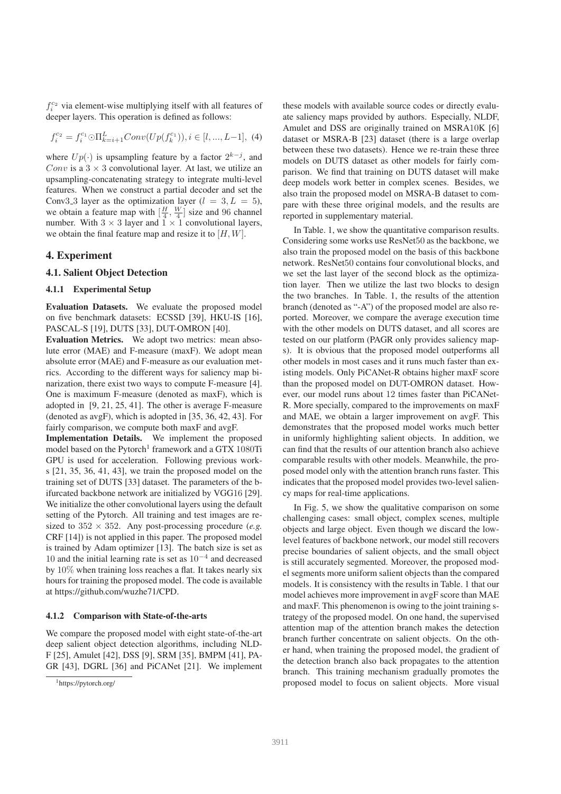$f_i^{c_2}$  via element-wise multiplying itself with all features of deeper layers. This operation is defined as follows:

$$
f_i^{c_2} = f_i^{c_1} \odot \Pi_{k=i+1}^L Conv(Up(f_k^{c_1})), i \in [l, ..., L-1], (4)
$$

where  $Up(\cdot)$  is upsampling feature by a factor  $2^{k-j}$ , and Conv is a  $3 \times 3$  convolutional layer. At last, we utilize an upsampling-concatenating strategy to integrate multi-level features. When we construct a partial decoder and set the Conv3.3 layer as the optimization layer  $(l = 3, L = 5)$ , we obtain a feature map with  $\left[\frac{H}{4}, \frac{W}{4}\right]$  size and 96 channel number. With  $3 \times 3$  layer and  $1 \times 1$  convolutional layers, we obtain the final feature map and resize it to  $[H, W]$ .

### 4. Experiment

#### 4.1. Salient Object Detection

#### 4.1.1 Experimental Setup

Evaluation Datasets. We evaluate the proposed model on five benchmark datasets: ECSSD [39], HKU-IS [16], PASCAL-S [19], DUTS [33], DUT-OMRON [40].

Evaluation Metrics. We adopt two metrics: mean absolute error (MAE) and F-measure (maxF). We adopt mean absolute error (MAE) and F-measure as our evaluation metrics. According to the different ways for saliency map binarization, there exist two ways to compute F-measure [4]. One is maximum F-measure (denoted as maxF), which is adopted in [9, 21, 25, 41]. The other is average F-measure (denoted as avgF), which is adopted in [35, 36, 42, 43]. For fairly comparison, we compute both maxF and avgF.

Implementation Details. We implement the proposed model based on the Pytorch<sup>1</sup> framework and a GTX 1080Ti GPU is used for acceleration. Following previous works [21, 35, 36, 41, 43], we train the proposed model on the training set of DUTS [33] dataset. The parameters of the bifurcated backbone network are initialized by VGG16 [29]. We initialize the other convolutional layers using the default setting of the Pytorch. All training and test images are resized to  $352 \times 352$ . Any post-processing procedure (*e.g.*) CRF [14]) is not applied in this paper. The proposed model is trained by Adam optimizer [13]. The batch size is set as 10 and the initial learning rate is set as 10<sup>−</sup><sup>4</sup> and decreased by 10% when training loss reaches a flat. It takes nearly six hours for training the proposed model. The code is available at https://github.com/wuzhe71/CPD.

#### 4.1.2 Comparison with State-of-the-arts

We compare the proposed model with eight state-of-the-art deep salient object detection algorithms, including NLD-F [25], Amulet [42], DSS [9], SRM [35], BMPM [41], PA-GR [43], DGRL [36] and PiCANet [21]. We implement these models with available source codes or directly evaluate saliency maps provided by authors. Especially, NLDF, Amulet and DSS are originally trained on MSRA10K [6] dataset or MSRA-B [23] dataset (there is a large overlap between these two datasets). Hence we re-train these three models on DUTS dataset as other models for fairly comparison. We find that training on DUTS dataset will make deep models work better in complex scenes. Besides, we also train the proposed model on MSRA-B dataset to compare with these three original models, and the results are reported in supplementary material.

In Table. 1, we show the quantitative comparison results. Considering some works use ResNet50 as the backbone, we also train the proposed model on the basis of this backbone network. ResNet50 contains four convolutional blocks, and we set the last layer of the second block as the optimization layer. Then we utilize the last two blocks to design the two branches. In Table. 1, the results of the attention branch (denoted as "-A") of the proposed model are also reported. Moreover, we compare the average execution time with the other models on DUTS dataset, and all scores are tested on our platform (PAGR only provides saliency maps). It is obvious that the proposed model outperforms all other models in most cases and it runs much faster than existing models. Only PiCANet-R obtains higher maxF score than the proposed model on DUT-OMRON dataset. However, our model runs about 12 times faster than PiCANet-R. More specially, compared to the improvements on maxF and MAE, we obtain a larger improvement on avgF. This demonstrates that the proposed model works much better in uniformly highlighting salient objects. In addition, we can find that the results of our attention branch also achieve comparable results with other models. Meanwhile, the proposed model only with the attention branch runs faster. This indicates that the proposed model provides two-level saliency maps for real-time applications.

In Fig. 5, we show the qualitative comparison on some challenging cases: small object, complex scenes, multiple objects and large object. Even though we discard the lowlevel features of backbone network, our model still recovers precise boundaries of salient objects, and the small object is still accurately segmented. Moreover, the proposed model segments more uniform salient objects than the compared models. It is consistency with the results in Table. 1 that our model achieves more improvement in avgF score than MAE and maxF. This phenomenon is owing to the joint training strategy of the proposed model. On one hand, the supervised attention map of the attention branch makes the detection branch further concentrate on salient objects. On the other hand, when training the proposed model, the gradient of the detection branch also back propagates to the attention branch. This training mechanism gradually promotes the proposed model to focus on salient objects. More visual

<sup>1</sup>https://pytorch.org/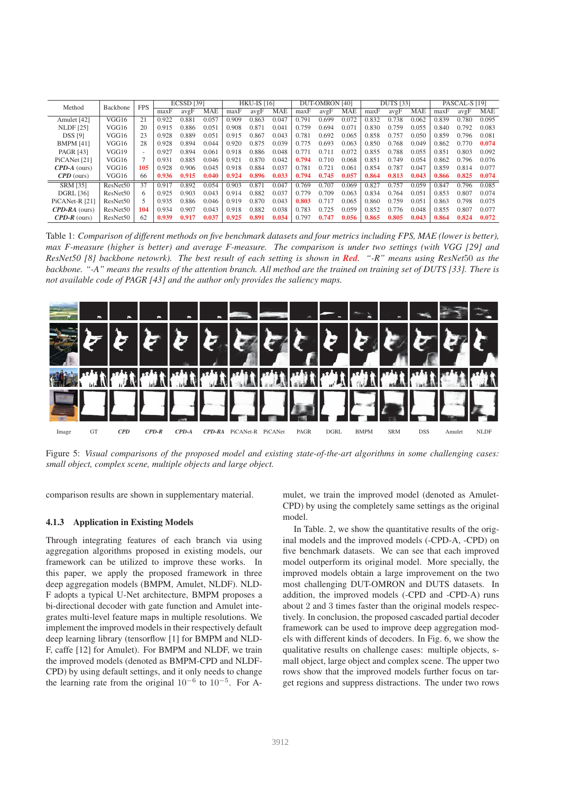| Method                | <b>FPS</b><br>Backbone |                          | <b>ECSSD</b> [39] |       |            | <b>HKU-IS [16]</b> |       |            | <b>DUT-OMRON [40]</b> |       |            | <b>DUTS</b> [33] |       |            | PASCAL-S [19] |       |            |
|-----------------------|------------------------|--------------------------|-------------------|-------|------------|--------------------|-------|------------|-----------------------|-------|------------|------------------|-------|------------|---------------|-------|------------|
|                       |                        |                          | maxF              | avgF  | <b>MAE</b> | maxF               | avgF  | <b>MAE</b> | maxF                  | avgF  | <b>MAE</b> | maxF             | avgF  | <b>MAE</b> | maxF          | avgF  | <b>MAE</b> |
| Amulet [42]           | VGG16                  | 21                       | 0.922             | 0.881 | 0.057      | 0.909              | 0.863 | 0.047      | 0.791                 | 0.699 | 0.072      | 0.832            | 0.738 | 0.062      | 0.839         | 0.780 | 0.095      |
| <b>NLDF</b> [25]      | VGG16                  | 20                       | 0.915             | 0.886 | 0.051      | 0.908              | 0.871 | 0.041      | 0.759                 | 0.694 | 0.071      | 0.830            | 0.759 | 0.055      | 0.840         | 0.792 | 0.083      |
| <b>DSS [9]</b>        | VGG16                  | 23                       | 0.928             | 0.889 | 0.051      | 0.915              | 0.867 | 0.043      | 0.781                 | 0.692 | 0.065      | 0.858            | 0.757 | 0.050      | 0.859         | 0.796 | 0.081      |
| <b>BMPM [41]</b>      | VGG16                  | 28                       | 0.928             | 0.894 | 0.044      | 0.920              | 0.875 | 0.039      | 0.775                 | 0.693 | 0.063      | 0.850            | 0.768 | 0.049      | 0.862         | 0.770 | 0.074      |
| <b>PAGR [43]</b>      | VGG19                  | $\overline{\phantom{0}}$ | 0.927             | 0.894 | 0.061      | 0.918              | 0.886 | 0.048      | 0.771                 | 0.711 | 0.072      | 0.855            | 0.788 | 0.055      | 0.851         | 0.803 | 0.092      |
| PiCANet [21]          | VGG16                  |                          | 0.931             | 0.885 | 0.046      | 0.921              | 0.870 | 0.042      | 0.794                 | 0.710 | 0.068      | 0.851            | 0.749 | 0.054      | 0.862         | 0.796 | 0.076      |
| $CPD-A$ (ours)        | VGG16                  | 105                      | 0.928             | 0.906 | 0.045      | 0.918              | 0.884 | 0.037      | 0.781                 | 0.721 | 0.061      | 0.854            | 0.787 | 0.047      | 0.859         | 0.814 | 0.077      |
| $\mathbf{CPD}$ (ours) | VGG16                  | 66                       | 0.936             | 0.915 | 0.040      | 0.924              | 0.896 | 0.033      | 0.794                 | 0.745 | 0.057      | 0.864            | 0.813 | 0.043      | 0.866         | 0.825 | 0.074      |
| <b>SRM [35]</b>       | ResNet50               | 37                       | 0.917             | 0.892 | 0.054      | 0.903              | 0.871 | 0.047      | 0.769                 | 0.707 | 0.069      | 0.827            | 0.757 | 0.059      | 0.847         | 0.796 | 0.085      |
| <b>DGRL</b> [36]      | ResNet <sub>50</sub>   | 6.                       | 0.925             | 0.903 | 0.043      | 0.914              | 0.882 | 0.037      | 0.779                 | 0.709 | 0.063      | 0.834            | 0.764 | 0.051      | 0.853         | 0.807 | 0.074      |
| PiCANet-R [21]        | ResNet <sub>50</sub>   |                          | 0.935             | 0.886 | 0.046      | 0.919              | 0.870 | 0.043      | 0.803                 | 0.717 | 0.065      | 0.860            | 0.759 | 0.051      | 0.863         | 0.798 | 0.075      |
| $CPD-RA$ (ours)       | ResNet <sub>50</sub>   | 104                      | 0.934             | 0.907 | 0.043      | 0.918              | 0.882 | 0.038      | 0.783                 | 0.725 | 0.059      | 0.852            | 0.776 | 0.048      | 0.855         | 0.807 | 0.077      |
| $CPD-R$ (ours)        | ResNet <sub>50</sub>   | 62                       | 0.939             | 0.917 | 0.037      | 0.925              | 0.891 | 0.034      | 0.797                 | 0.747 | 0.056      | 0.865            | 0.805 | 0.043      | 0.864         | 0.824 | 0.072      |

Table 1: *Comparison of different methods on five benchmark datasets and four metrics including FPS, MAE (lower is better), max F-measure (higher is better) and average F-measure. The comparison is under two settings (with VGG [29] and ResNet50 [8] backbone netowrk). The best result of each setting is shown in Red. "-R" means using ResNet*50 *as the backbone. "-A" means the results of the attention branch. All method are the trained on training set of DUTS [33]. There is not available code of PAGR [43] and the author only provides the saliency maps.*



Figure 5: *Visual comparisons of the proposed model and existing state-of-the-art algorithms in some challenging cases: small object, complex scene, multiple objects and large object.*

comparison results are shown in supplementary material.

#### 4.1.3 Application in Existing Models

Through integrating features of each branch via using aggregation algorithms proposed in existing models, our framework can be utilized to improve these works. In this paper, we apply the proposed framework in three deep aggregation models (BMPM, Amulet, NLDF). NLD-F adopts a typical U-Net architecture, BMPM proposes a bi-directional decoder with gate function and Amulet integrates multi-level feature maps in multiple resolutions. We implement the improved models in their respectively default deep learning library (tensorflow [1] for BMPM and NLD-F, caffe [12] for Amulet). For BMPM and NLDF, we train the improved models (denoted as BMPM-CPD and NLDF-CPD) by using default settings, and it only needs to change the learning rate from the original  $10^{-6}$  to  $10^{-5}$ . For A-

mulet, we train the improved model (denoted as Amulet-CPD) by using the completely same settings as the original model.

In Table. 2, we show the quantitative results of the original models and the improved models (-CPD-A, -CPD) on five benchmark datasets. We can see that each improved model outperform its original model. More specially, the improved models obtain a large improvement on the two most challenging DUT-OMRON and DUTS datasets. In addition, the improved models (-CPD and -CPD-A) runs about 2 and 3 times faster than the original models respectively. In conclusion, the proposed cascaded partial decoder framework can be used to improve deep aggregation models with different kinds of decoders. In Fig. 6, we show the qualitative results on challenge cases: multiple objects, small object, large object and complex scene. The upper two rows show that the improved models further focus on target regions and suppress distractions. The under two rows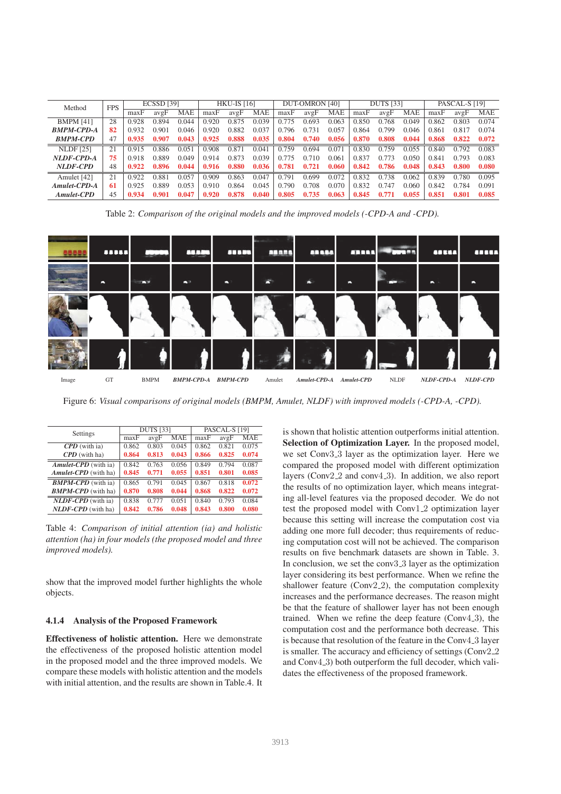| Method            | <b>FPS</b> | <b>ECSSD [39]</b> |       | <b>HKU-IS</b> [16] |       |       | <b>DUT-OMRON [40]</b> |       |       | <b>DUTS</b> [33] |       |       | PASCAL-S [19] |       |       |            |
|-------------------|------------|-------------------|-------|--------------------|-------|-------|-----------------------|-------|-------|------------------|-------|-------|---------------|-------|-------|------------|
|                   |            | maxF              | avgF  | MAE                | maxF  | avgF  | <b>MAE</b>            | maxF  | avgF  | <b>MAE</b>       | maxF  | avgF  | <b>MAE</b>    | maxF  | avgF  | <b>MAE</b> |
| <b>BMPM [41]</b>  | 28         | 0.928             | 0.894 | 0.044              | 0.920 | 0.875 | 0.039                 | 0.775 | 0.693 | 0.063            | 0.850 | 0.768 | 0.049         | 0.862 | 0.803 | 0.074      |
| <b>BMPM-CPD-A</b> | 82         | 0.932             | 0.901 | 0.046              | 0.920 | 0.882 | 0.037                 | 0.796 | 0.731 | 0.057            | 0.864 | 0.799 | 0.046         | 0.861 | 0.817 | 0.074      |
| <b>BMPM-CPD</b>   | 47         | 0.935             | 0.907 | 0.043              | 0.925 | 0.888 | 0.035                 | 0.804 | 0.740 | 0.056            | 0.870 | 0.808 | 0.044         | 0.868 | 0.822 | 0.072      |
| <b>NLDF</b> [25]  | 21         | 0.915             | 0.886 | 0.051              | 0.908 | 0.871 | 0.041                 | 0.759 | 0.694 | 0.071            | 0.830 | 0.759 | 0.055         | 0.840 | 0.792 | 0.083      |
| NLDF-CPD-A        | 75         | 0.918             | 0.889 | 0.049              | 0.914 | 0.873 | 0.039                 | 0.775 | 0.710 | 0.061            | 0.837 | 0.773 | 0.050         | 0.841 | 0.793 | 0.083      |
| NLDF-CPD          | 48         | 0.922             | 0.896 | 0.044              | 0.916 | 0.880 | 0.036                 | 0.781 | 0.721 | 0.060            | 0.842 | 0.786 | 0.048         | 0.843 | 0.800 | 0.080      |
| Amulet [42]       | 21         | 0.922             | 0.881 | 0.057              | 0.909 | 0.863 | 0.047                 | 0.791 | 0.699 | 0.072            | 0.832 | 0.738 | 0.062         | 0.839 | 0.780 | 0.095      |
| Amulet-CPD-A      | 61         | 0.925             | 0.889 | 0.053              | 0.910 | 0.864 | 0.045                 | 0.790 | 0.708 | 0.070            | 0.832 | 0.747 | 0.060         | 0.842 | 0.784 | 0.091      |
| <b>Amulet-CPD</b> | 45         | 0.934             | 0.901 | 0.047              | 0.920 | 0.878 | 0.040                 | 0.805 | 0.735 | 0.063            | 0.845 | 0.771 | 0.055         | 0.851 | 0.801 | 0.085      |

Table 2: *Comparison of the original models and the improved models (-CPD-A and -CPD).*

|       |    |             | <b>TTT</b>        | 55555           | 58888  | <b>ABASA</b> | <b>ABRAT</b> | <b>1999</b> | <b><i><u>ADELL</u></i></b> | $\overline{\phantom{a}}$ |
|-------|----|-------------|-------------------|-----------------|--------|--------------|--------------|-------------|----------------------------|--------------------------|
|       | -  | .           | <b>AB</b>         |                 |        |              |              |             | $\overline{\phantom{a}}$   | -                        |
|       |    |             |                   |                 |        |              |              |             |                            |                          |
|       |    |             |                   |                 |        |              |              |             |                            |                          |
| Image | GT | <b>BMPM</b> | <b>BMPM-CPD-A</b> | <b>BMPM-CPD</b> | Amulet | Amulet-CPD-A | Amulet-CPD   | <b>NLDF</b> | NLDF-CPD-A                 | <b>NLDF-CPD</b>          |

Figure 6: *Visual comparisons of original models (BMPM, Amulet, NLDF) with improved models (-CPD-A, -CPD).*

| Settings                    |       | <b>DUTS</b> [33] |       | PASCAL-S [19] |       |       |  |
|-----------------------------|-------|------------------|-------|---------------|-------|-------|--|
|                             | maxF  | avgF             | MAE   | maxF          | avgF  | MAE   |  |
| $\mathbf{CPD}$ (with ia)    | 0.862 | 0.803            | 0.045 | 0.862         | 0.821 | 0.075 |  |
| $\mathbf{CPD}$ (with ha)    | 0.864 | 0.813            | 0.043 | 0.866         | 0.825 | 0.074 |  |
| <b>Amulet-CPD</b> (with ia) | 0.842 | 0.763            | 0.056 | 0.849         | 0.794 | 0.087 |  |
| <b>Amulet-CPD</b> (with ha) | 0.845 | 0.771            | 0.055 | 0.851         | 0.801 | 0.085 |  |
| <b>BMPM-CPD</b> (with ia)   | 0.865 | 0.791            | 0.045 | 0.867         | 0.818 | 0.072 |  |
| <b>BMPM-CPD</b> (with ha)   | 0.870 | 0.808            | 0.044 | 0.868         | 0.822 | 0.072 |  |
| $NLDF-CPD$ (with ia)        | 0.838 | 0.777            | 0.051 | 0.840         | 0.793 | 0.084 |  |
| $NLDF-CPD$ (with ha)        | 0.842 | 0.786            | 0.048 | 0.843         | 0.800 | 0.080 |  |

Table 4: *Comparison of initial attention (ia) and holistic attention (ha) in four models (the proposed model and three improved models).*

show that the improved model further highlights the whole objects.

#### 4.1.4 Analysis of the Proposed Framework

Effectiveness of holistic attention. Here we demonstrate the effectiveness of the proposed holistic attention model in the proposed model and the three improved models. We compare these models with holistic attention and the models with initial attention, and the results are shown in Table.4. It is shown that holistic attention outperforms initial attention. Selection of Optimization Layer. In the proposed model, we set Conv3<sub>-3</sub> layer as the optimization layer. Here we compared the proposed model with different optimization layers (Conv2<sub>-2</sub> and conv4<sub>-3</sub>). In addition, we also report the results of no optimization layer, which means integrating all-level features via the proposed decoder. We do not test the proposed model with Conv1 2 optimization layer because this setting will increase the computation cost via adding one more full decoder; thus requirements of reducing computation cost will not be achieved. The comparison results on five benchmark datasets are shown in Table. 3. In conclusion, we set the conv3<sub>-3</sub> layer as the optimization layer considering its best performance. When we refine the shallower feature ( $Conv2_2$ ), the computation complexity increases and the performance decreases. The reason might be that the feature of shallower layer has not been enough trained. When we refine the deep feature  $(Conv4.3)$ , the computation cost and the performance both decrease. This is because that resolution of the feature in the Conv4<sub>-3</sub> layer is smaller. The accuracy and efficiency of settings (Conv2\_2) and Conv4<sub>-3</sub>) both outperform the full decoder, which validates the effectiveness of the proposed framework.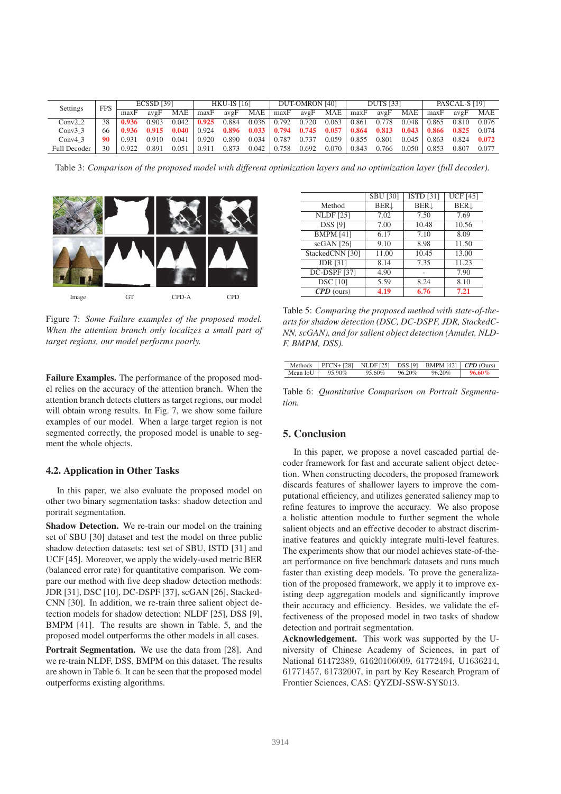| Settings     | <b>FPS</b> |        | <b>ECSSD [39]</b> |       | <b>HKU-IS [16]</b> |                   | DUT-OMRON [40] |       |       | <b>DUTS</b> [33] |       |       | PASCAL-S [19] |       |       |       |
|--------------|------------|--------|-------------------|-------|--------------------|-------------------|----------------|-------|-------|------------------|-------|-------|---------------|-------|-------|-------|
|              |            | maxF   | avgF              | MAE   | maxF               | $av\mathfrak{g}F$ | <b>MAE</b>     | maxF  | avgF  | MAE              | maxF  | avgF  | <b>MAE</b>    | maxF  | avgF  | MAE   |
| $Conv2_2$    | 38         | 0.936  | 0.903             | 0.042 | 0.925              | 0.884             | 0.036          | 0.792 | 0.720 | 0.063            | 0.861 | 0.778 | 0.048         | 0.865 | 0.810 | 0.076 |
| $Conv3_3$    | 66         | -0.936 | 0.915             | 0.040 | 0.924              | 0.896             | 0.033          | 0.794 | 0.745 | 0.057            | 0.864 | 0.813 | 0.043         | 0.866 | 0.825 | 0.074 |
| Conv4.3      | 90         | 0.931  | 0.910             | 0.041 | 0.920              | 0.890             | 0.034          | 0.787 | 0.737 | 0.059            | 0.855 | 0.801 | 0.045         | 0.863 | 0.824 | 0.072 |
| Full Decoder | 30         | 0.922  | 0.891             | 0.051 | 0.911              | 0.873             | 0.042          | 0.758 | 0.692 | 0.070            | 0.843 | 0.766 | 0.050         | 0.853 | 0.807 | 0.077 |

Table 3: *Comparison of the proposed model with different optimization layers and no optimization layer (full decoder).*



Figure 7: *Some Failure examples of the proposed model. When the attention branch only localizes a small part of target regions, our model performs poorly.*

Failure Examples. The performance of the proposed model relies on the accuracy of the attention branch. When the attention branch detects clutters as target regions, our model will obtain wrong results. In Fig. 7, we show some failure examples of our model. When a large target region is not segmented correctly, the proposed model is unable to segment the whole objects.

#### 4.2. Application in Other Tasks

In this paper, we also evaluate the proposed model on other two binary segmentation tasks: shadow detection and portrait segmentation.

Shadow Detection. We re-train our model on the training set of SBU [30] dataset and test the model on three public shadow detection datasets: test set of SBU, ISTD [31] and UCF [45]. Moreover, we apply the widely-used metric BER (balanced error rate) for quantitative comparison. We compare our method with five deep shadow detection methods: JDR [31], DSC [10], DC-DSPF [37], scGAN [26], Stacked-CNN [30]. In addition, we re-train three salient object detection models for shadow detection: NLDF [25], DSS [9], BMPM [41]. The results are shown in Table. 5, and the proposed model outperforms the other models in all cases.

Portrait Segmentation. We use the data from [28]. And we re-train NLDF, DSS, BMPM on this dataset. The results are shown in Table 6. It can be seen that the proposed model outperforms existing algorithms.

|                     | <b>SBU [30]</b> | <b>ISTD</b> [31] | <b>UCF</b> [45] |
|---------------------|-----------------|------------------|-----------------|
| Method              | <b>BER</b>      | BER <sub>J</sub> | <b>BER</b>      |
| <b>NLDF</b> [25]    | 7.02            | 7.50             | 7.69            |
| <b>DSS</b> [9]      | 7.00            | 10.48            | 10.56           |
| <b>BMPM</b> [41]    | 6.17            | 7.10             | 8.09            |
| $scGAN$ [26]        | 9.10            | 8.98             | 11.50           |
| StackedCNN [30]     | 11.00           | 10.45            | 13.00           |
| <b>JDR</b> [31]     | 8.14            | 7.35             | 11.23           |
| <b>DC-DSPF</b> [37] | 4.90            |                  | 7.90            |
| <b>DSC</b> [10]     | 5.59            | 8.24             | 8.10            |
| $CPD$ (ours)        | 4.19            | 6.76             | 7.21            |

Table 5: *Comparing the proposed method with state-of-thearts for shadow detection (DSC, DC-DSPF, JDR, StackedC-NN, scGAN), and for salient object detection (Amulet, NLD-F, BMPM, DSS).*

| <b>Methods</b> | $\vert$ PFCN+ [28] NLDF [25] DSS [9] BMPM [42] $\vert$ CPD (Ours) |        |        |        |           |
|----------------|-------------------------------------------------------------------|--------|--------|--------|-----------|
| Mean IoU       | 95.90%                                                            | 95.60% | 96.20% | 96.20% | $96.60\%$ |

Table 6: *Quantitative Comparison on Portrait Segmentation.*

### 5. Conclusion

In this paper, we propose a novel cascaded partial decoder framework for fast and accurate salient object detection. When constructing decoders, the proposed framework discards features of shallower layers to improve the computational efficiency, and utilizes generated saliency map to refine features to improve the accuracy. We also propose a holistic attention module to further segment the whole salient objects and an effective decoder to abstract discriminative features and quickly integrate multi-level features. The experiments show that our model achieves state-of-theart performance on five benchmark datasets and runs much faster than existing deep models. To prove the generalization of the proposed framework, we apply it to improve existing deep aggregation models and significantly improve their accuracy and efficiency. Besides, we validate the effectiveness of the proposed model in two tasks of shadow detection and portrait segmentation.

Acknowledgement. This work was supported by the University of Chinese Academy of Sciences, in part of National 61472389, 61620106009, 61772494, U1636214, 61771457, 61732007, in part by Key Research Program of Frontier Sciences, CAS: QYZDJ-SSW-SYS013.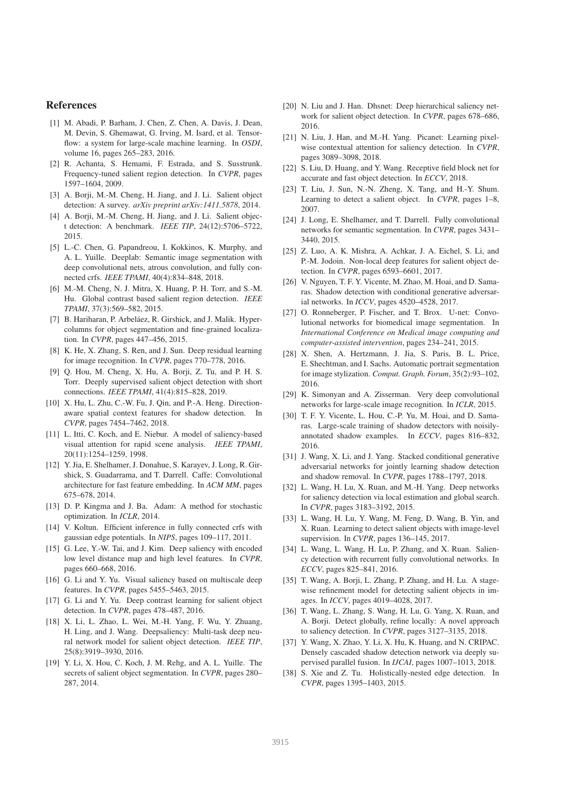#### References

- [1] M. Abadi, P. Barham, J. Chen, Z. Chen, A. Davis, J. Dean, M. Devin, S. Ghemawat, G. Irving, M. Isard, et al. Tensorflow: a system for large-scale machine learning. In *OSDI*, volume 16, pages 265–283, 2016.
- [2] R. Achanta, S. Hemami, F. Estrada, and S. Susstrunk. Frequency-tuned salient region detection. In *CVPR*, pages 1597–1604, 2009.
- [3] A. Borji, M.-M. Cheng, H. Jiang, and J. Li. Salient object detection: A survey. *arXiv preprint arXiv:1411.5878*, 2014.
- [4] A. Borji, M.-M. Cheng, H. Jiang, and J. Li. Salient object detection: A benchmark. *IEEE TIP*, 24(12):5706–5722, 2015.
- [5] L.-C. Chen, G. Papandreou, I. Kokkinos, K. Murphy, and A. L. Yuille. Deeplab: Semantic image segmentation with deep convolutional nets, atrous convolution, and fully connected crfs. *IEEE TPAMI*, 40(4):834–848, 2018.
- [6] M.-M. Cheng, N. J. Mitra, X. Huang, P. H. Torr, and S.-M. Hu. Global contrast based salient region detection. *IEEE TPAMI*, 37(3):569–582, 2015.
- [7] B. Hariharan, P. Arbeláez, R. Girshick, and J. Malik. Hypercolumns for object segmentation and fine-grained localization. In *CVPR*, pages 447–456, 2015.
- [8] K. He, X. Zhang, S. Ren, and J. Sun. Deep residual learning for image recognition. In *CVPR*, pages 770–778, 2016.
- [9] Q. Hou, M. Cheng, X. Hu, A. Borji, Z. Tu, and P. H. S. Torr. Deeply supervised salient object detection with short connections. *IEEE TPAMI*, 41(4):815–828, 2019.
- [10] X. Hu, L. Zhu, C.-W. Fu, J. Qin, and P.-A. Heng. Directionaware spatial context features for shadow detection. In *CVPR*, pages 7454–7462, 2018.
- [11] L. Itti, C. Koch, and E. Niebur. A model of saliency-based visual attention for rapid scene analysis. *IEEE TPAMI*, 20(11):1254–1259, 1998.
- [12] Y. Jia, E. Shelhamer, J. Donahue, S. Karayev, J. Long, R. Girshick, S. Guadarrama, and T. Darrell. Caffe: Convolutional architecture for fast feature embedding. In *ACM MM*, pages 675–678, 2014.
- [13] D. P. Kingma and J. Ba. Adam: A method for stochastic optimization. In *ICLR*, 2014.
- [14] V. Koltun. Efficient inference in fully connected crfs with gaussian edge potentials. In *NIPS*, pages 109–117, 2011.
- [15] G. Lee, Y.-W. Tai, and J. Kim. Deep saliency with encoded low level distance map and high level features. In *CVPR*, pages 660–668, 2016.
- [16] G. Li and Y. Yu. Visual saliency based on multiscale deep features. In *CVPR*, pages 5455–5463, 2015.
- [17] G. Li and Y. Yu. Deep contrast learning for salient object detection. In *CVPR*, pages 478–487, 2016.
- [18] X. Li, L. Zhao, L. Wei, M.-H. Yang, F. Wu, Y. Zhuang, H. Ling, and J. Wang. Deepsaliency: Multi-task deep neural network model for salient object detection. *IEEE TIP*, 25(8):3919–3930, 2016.
- [19] Y. Li, X. Hou, C. Koch, J. M. Rehg, and A. L. Yuille. The secrets of salient object segmentation. In *CVPR*, pages 280– 287, 2014.
- [20] N. Liu and J. Han. Dhsnet: Deep hierarchical saliency network for salient object detection. In *CVPR*, pages 678–686, 2016.
- [21] N. Liu, J. Han, and M.-H. Yang. Picanet: Learning pixelwise contextual attention for saliency detection. In *CVPR*, pages 3089–3098, 2018.
- [22] S. Liu, D. Huang, and Y. Wang. Receptive field block net for accurate and fast object detection. In *ECCV*, 2018.
- [23] T. Liu, J. Sun, N.-N. Zheng, X. Tang, and H.-Y. Shum. Learning to detect a salient object. In *CVPR*, pages 1–8, 2007.
- [24] J. Long, E. Shelhamer, and T. Darrell. Fully convolutional networks for semantic segmentation. In *CVPR*, pages 3431– 3440, 2015.
- [25] Z. Luo, A. K. Mishra, A. Achkar, J. A. Eichel, S. Li, and P.-M. Jodoin. Non-local deep features for salient object detection. In *CVPR*, pages 6593–6601, 2017.
- [26] V. Nguyen, T. F. Y. Vicente, M. Zhao, M. Hoai, and D. Samaras. Shadow detection with conditional generative adversarial networks. In *ICCV*, pages 4520–4528, 2017.
- [27] O. Ronneberger, P. Fischer, and T. Brox. U-net: Convolutional networks for biomedical image segmentation. In *International Conference on Medical image computing and computer-assisted intervention*, pages 234–241, 2015.
- [28] X. Shen, A. Hertzmann, J. Jia, S. Paris, B. L. Price, E. Shechtman, and I. Sachs. Automatic portrait segmentation for image stylization. *Comput. Graph. Forum*, 35(2):93–102, 2016.
- [29] K. Simonyan and A. Zisserman. Very deep convolutional networks for large-scale image recognition. In *ICLR*, 2015.
- [30] T. F. Y. Vicente, L. Hou, C.-P. Yu, M. Hoai, and D. Samaras. Large-scale training of shadow detectors with noisilyannotated shadow examples. In *ECCV*, pages 816–832, 2016.
- [31] J. Wang, X. Li, and J. Yang. Stacked conditional generative adversarial networks for jointly learning shadow detection and shadow removal. In *CVPR*, pages 1788–1797, 2018.
- [32] L. Wang, H. Lu, X. Ruan, and M.-H. Yang. Deep networks for saliency detection via local estimation and global search. In *CVPR*, pages 3183–3192, 2015.
- [33] L. Wang, H. Lu, Y. Wang, M. Feng, D. Wang, B. Yin, and X. Ruan. Learning to detect salient objects with image-level supervision. In *CVPR*, pages 136–145, 2017.
- [34] L. Wang, L. Wang, H. Lu, P. Zhang, and X. Ruan. Saliency detection with recurrent fully convolutional networks. In *ECCV*, pages 825–841, 2016.
- [35] T. Wang, A. Borji, L. Zhang, P. Zhang, and H. Lu. A stagewise refinement model for detecting salient objects in images. In *ICCV*, pages 4019–4028, 2017.
- [36] T. Wang, L. Zhang, S. Wang, H. Lu, G. Yang, X. Ruan, and A. Borji. Detect globally, refine locally: A novel approach to saliency detection. In *CVPR*, pages 3127–3135, 2018.
- [37] Y. Wang, X. Zhao, Y. Li, X. Hu, K. Huang, and N. CRIPAC. Densely cascaded shadow detection network via deeply supervised parallel fusion. In *IJCAI*, pages 1007–1013, 2018.
- [38] S. Xie and Z. Tu. Holistically-nested edge detection. In *CVPR*, pages 1395–1403, 2015.